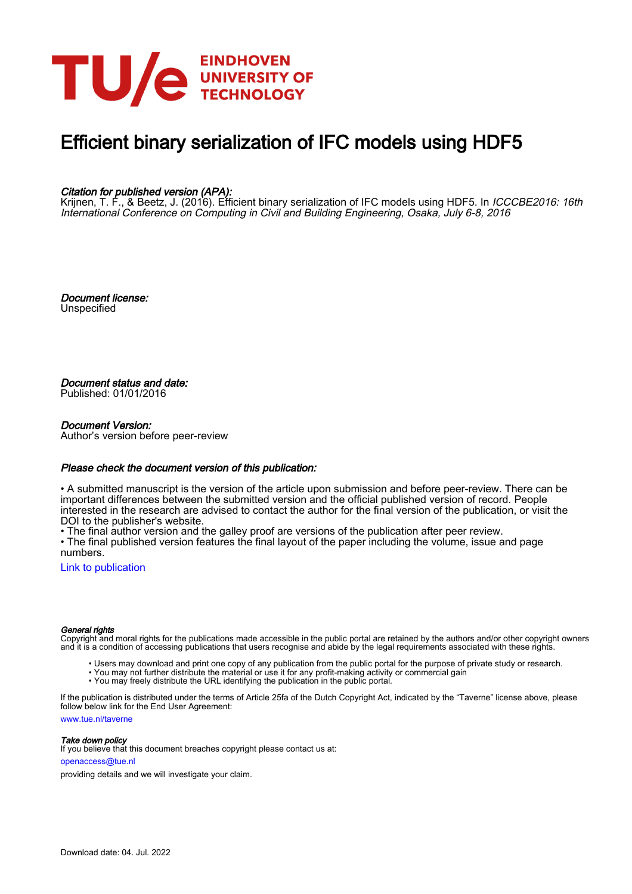

# Efficient binary serialization of IFC models using HDF5

#### Citation for published version (APA):

Krijnen, T. F., & Beetz, J. (2016). Efficient binary serialization of IFC models using HDF5. In ICCCBE2016: 16th International Conference on Computing in Civil and Building Engineering, Osaka, July 6-8, 2016

Document license: Unspecified

Document status and date: Published: 01/01/2016

#### Document Version:

Author's version before peer-review

#### Please check the document version of this publication:

• A submitted manuscript is the version of the article upon submission and before peer-review. There can be important differences between the submitted version and the official published version of record. People interested in the research are advised to contact the author for the final version of the publication, or visit the DOI to the publisher's website.

• The final author version and the galley proof are versions of the publication after peer review.

• The final published version features the final layout of the paper including the volume, issue and page numbers.

[Link to publication](https://research.tue.nl/en/publications/6f073d51-3656-4876-819d-c74a1abae42c)

#### General rights

Copyright and moral rights for the publications made accessible in the public portal are retained by the authors and/or other copyright owners and it is a condition of accessing publications that users recognise and abide by the legal requirements associated with these rights.

- Users may download and print one copy of any publication from the public portal for the purpose of private study or research.
- You may not further distribute the material or use it for any profit-making activity or commercial gain
- You may freely distribute the URL identifying the publication in the public portal.

If the publication is distributed under the terms of Article 25fa of the Dutch Copyright Act, indicated by the "Taverne" license above, please follow below link for the End User Agreement:

www.tue.nl/taverne

**Take down policy**<br>If you believe that this document breaches copyright please contact us at:

openaccess@tue.nl

providing details and we will investigate your claim.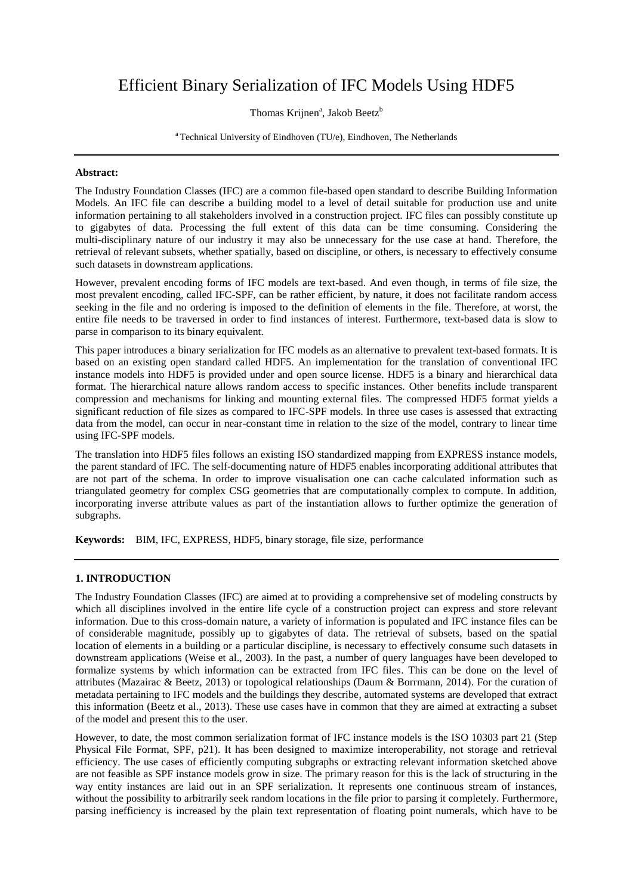## Efficient Binary Serialization of IFC Models Using HDF5

### Thomas Krijnen<sup>a</sup>, Jakob Beetz<sup>b</sup>

<sup>a</sup> Technical University of Eindhoven (TU/e), Eindhoven, The Netherlands

#### **Abstract:**

The Industry Foundation Classes (IFC) are a common file-based open standard to describe Building Information Models. An IFC file can describe a building model to a level of detail suitable for production use and unite information pertaining to all stakeholders involved in a construction project. IFC files can possibly constitute up to gigabytes of data. Processing the full extent of this data can be time consuming. Considering the multi-disciplinary nature of our industry it may also be unnecessary for the use case at hand. Therefore, the retrieval of relevant subsets, whether spatially, based on discipline, or others, is necessary to effectively consume such datasets in downstream applications.

However, prevalent encoding forms of IFC models are text-based. And even though, in terms of file size, the most prevalent encoding, called IFC-SPF, can be rather efficient, by nature, it does not facilitate random access seeking in the file and no ordering is imposed to the definition of elements in the file. Therefore, at worst, the entire file needs to be traversed in order to find instances of interest. Furthermore, text-based data is slow to parse in comparison to its binary equivalent.

This paper introduces a binary serialization for IFC models as an alternative to prevalent text-based formats. It is based on an existing open standard called HDF5. An implementation for the translation of conventional IFC instance models into HDF5 is provided under and open source license. HDF5 is a binary and hierarchical data format. The hierarchical nature allows random access to specific instances. Other benefits include transparent compression and mechanisms for linking and mounting external files. The compressed HDF5 format yields a significant reduction of file sizes as compared to IFC-SPF models. In three use cases is assessed that extracting data from the model, can occur in near-constant time in relation to the size of the model, contrary to linear time using IFC-SPF models.

The translation into HDF5 files follows an existing ISO standardized mapping from EXPRESS instance models, the parent standard of IFC. The self-documenting nature of HDF5 enables incorporating additional attributes that are not part of the schema. In order to improve visualisation one can cache calculated information such as triangulated geometry for complex CSG geometries that are computationally complex to compute. In addition, incorporating inverse attribute values as part of the instantiation allows to further optimize the generation of subgraphs.

**Keywords:** BIM, IFC, EXPRESS, HDF5, binary storage, file size, performance

#### **1. INTRODUCTION**

The Industry Foundation Classes (IFC) are aimed at to providing a comprehensive set of modeling constructs by which all disciplines involved in the entire life cycle of a construction project can express and store relevant information. Due to this cross-domain nature, a variety of information is populated and IFC instance files can be of considerable magnitude, possibly up to gigabytes of data. The retrieval of subsets, based on the spatial location of elements in a building or a particular discipline, is necessary to effectively consume such datasets in downstream applications (Weise et al., 2003). In the past, a number of query languages have been developed to formalize systems by which information can be extracted from IFC files. This can be done on the level of attributes (Mazairac & Beetz, 2013) or topological relationships (Daum & Borrmann, 2014). For the curation of metadata pertaining to IFC models and the buildings they describe, automated systems are developed that extract this information (Beetz et al., 2013). These use cases have in common that they are aimed at extracting a subset of the model and present this to the user.

However, to date, the most common serialization format of IFC instance models is the ISO 10303 part 21 (Step Physical File Format, SPF, p21). It has been designed to maximize interoperability, not storage and retrieval efficiency. The use cases of efficiently computing subgraphs or extracting relevant information sketched above are not feasible as SPF instance models grow in size. The primary reason for this is the lack of structuring in the way entity instances are laid out in an SPF serialization. It represents one continuous stream of instances, without the possibility to arbitrarily seek random locations in the file prior to parsing it completely. Furthermore, parsing inefficiency is increased by the plain text representation of floating point numerals, which have to be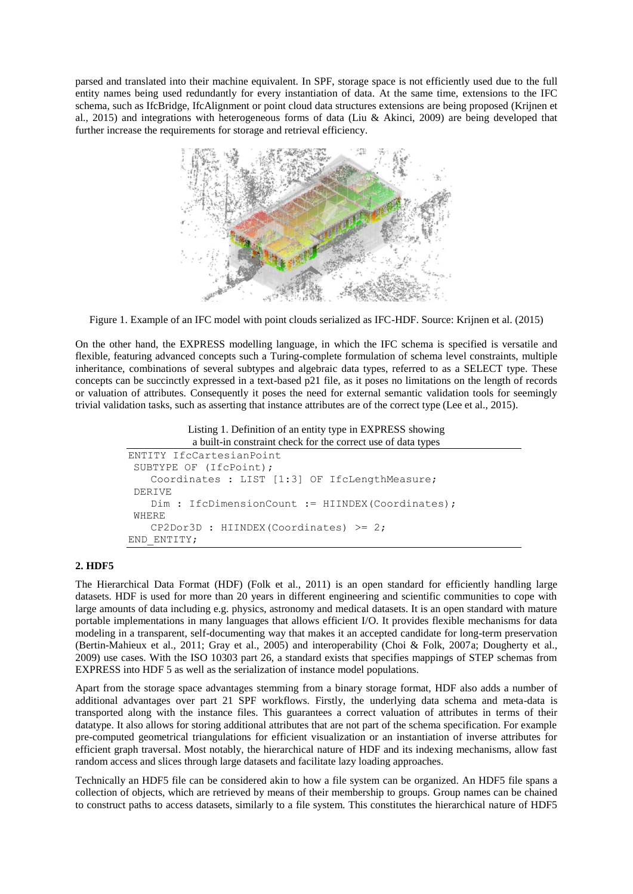parsed and translated into their machine equivalent. In SPF, storage space is not efficiently used due to the full entity names being used redundantly for every instantiation of data. At the same time, extensions to the IFC schema, such as IfcBridge, IfcAlignment or point cloud data structures extensions are being proposed (Krijnen et al., 2015) and integrations with heterogeneous forms of data (Liu & Akinci, 2009) are being developed that further increase the requirements for storage and retrieval efficiency.



Figure 1. Example of an IFC model with point clouds serialized as IFC-HDF. Source: Krijnen et al. (2015)

On the other hand, the EXPRESS modelling language, in which the IFC schema is specified is versatile and flexible, featuring advanced concepts such a Turing-complete formulation of schema level constraints, multiple inheritance, combinations of several subtypes and algebraic data types, referred to as a SELECT type. These concepts can be succinctly expressed in a text-based p21 file, as it poses no limitations on the length of records or valuation of attributes. Consequently it poses the need for external semantic validation tools for seemingly trivial validation tasks, such as asserting that instance attributes are of the correct type (Lee et al., 2015).

Listing 1. Definition of an entity type in EXPRESS showing a built-in constraint check for the correct use of data types

```
ENTITY IfcCartesianPoint
 SUBTYPE OF (IfcPoint);
   Coordinates : LIST [1:3] OF IfcLengthMeasure;
 DERIVE
   Dim : IfcDimensionCount := HIINDEX(Coordinates);
 WHERE
   CP2Dor3D : HIINDEX(Coordinates) >= 2;
END_ENTITY;
```
#### **2. HDF5**

The Hierarchical Data Format (HDF) (Folk et al., 2011) is an open standard for efficiently handling large datasets. HDF is used for more than 20 years in different engineering and scientific communities to cope with large amounts of data including e.g. physics, astronomy and medical datasets. It is an open standard with mature portable implementations in many languages that allows efficient I/O. It provides flexible mechanisms for data modeling in a transparent, self-documenting way that makes it an accepted candidate for long-term preservation (Bertin-Mahieux et al., 2011; Gray et al., 2005) and interoperability (Choi & Folk, 2007a; Dougherty et al., 2009) use cases. With the ISO 10303 part 26, a standard exists that specifies mappings of STEP schemas from EXPRESS into HDF 5 as well as the serialization of instance model populations.

Apart from the storage space advantages stemming from a binary storage format, HDF also adds a number of additional advantages over part 21 SPF workflows. Firstly, the underlying data schema and meta-data is transported along with the instance files. This guarantees a correct valuation of attributes in terms of their datatype. It also allows for storing additional attributes that are not part of the schema specification. For example pre-computed geometrical triangulations for efficient visualization or an instantiation of inverse attributes for efficient graph traversal. Most notably, the hierarchical nature of HDF and its indexing mechanisms, allow fast random access and slices through large datasets and facilitate lazy loading approaches.

Technically an HDF5 file can be considered akin to how a file system can be organized. An HDF5 file spans a collection of objects, which are retrieved by means of their membership to groups. Group names can be chained to construct paths to access datasets, similarly to a file system. This constitutes the hierarchical nature of HDF5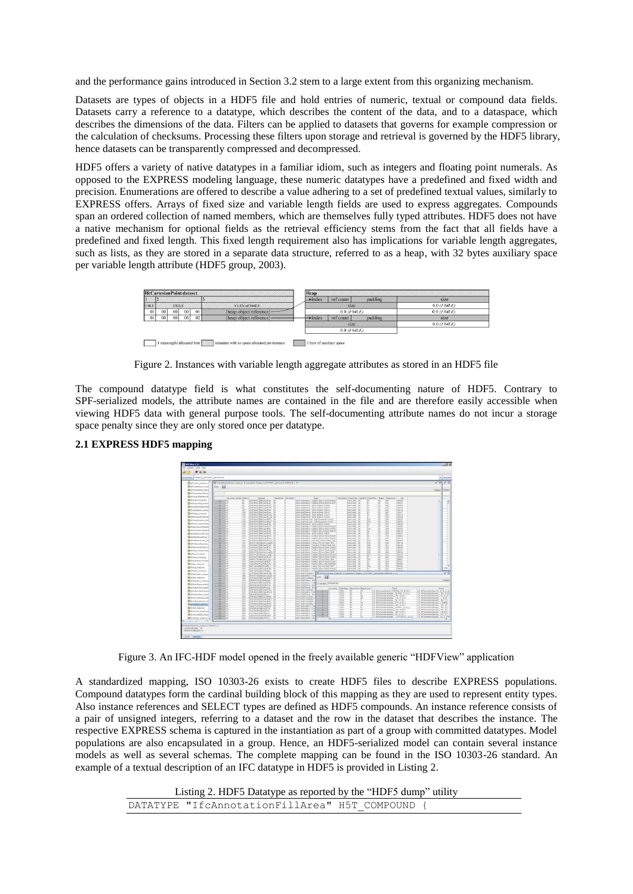and the performance gains introduced in Section 3.2 stem to a large extent from this organizing mechanism.

Datasets are types of objects in a HDF5 file and hold entries of numeric, textual or compound data fields. Datasets carry a reference to a datatype, which describes the content of the data, and to a dataspace, which describes the dimensions of the data. Filters can be applied to datasets that governs for example compression or the calculation of checksums. Processing these filters upon storage and retrieval is governed by the HDF5 library, hence datasets can be transparently compressed and decompressed.

HDF5 offers a variety of native datatypes in a familiar idiom, such as integers and floating point numerals. As opposed to the EXPRESS modeling language, these numeric datatypes have a predefined and fixed width and precision. Enumerations are offered to describe a value adhering to a set of predefined textual values, similarly to EXPRESS offers. Arrays of fixed size and variable length fields are used to express aggregates. Compounds span an ordered collection of named members, which are themselves fully typed attributes. HDF5 does not have a native mechanism for optional fields as the retrieval efficiency stems from the fact that all fields have a predefined and fixed length. This fixed length requirement also has implications for variable length aggregates, such as lists, as they are stored in a separate data structure, referred to as a heap, with 32 bytes auxiliary space per variable length attribute (HDF5 group, 2003).



1 meaningful allocated byte **//////** metadata with no space allocated per instance

Figure 2. Instances with variable length aggregate attributes as stored in an HDF5 file

The compound datatype field is what constitutes the self-documenting nature of HDF5. Contrary to SPF-serialized models, the attribute names are contained in the file and are therefore easily accessible when viewing HDF5 data with general purpose tools. The self-documenting attribute names do not incur a storage space penalty since they are only stored once per datatype.



#### **2.1 EXPRESS HDF5 mapping**

Figure 3. An IFC-HDF model opened in the freely available generic "HDFView" application

A standardized mapping, ISO 10303-26 exists to create HDF5 files to describe EXPRESS populations. Compound datatypes form the cardinal building block of this mapping as they are used to represent entity types. Also instance references and SELECT types are defined as HDF5 compounds. An instance reference consists of a pair of unsigned integers, referring to a dataset and the row in the dataset that describes the instance. The respective EXPRESS schema is captured in the instantiation as part of a group with committed datatypes. Model populations are also encapsulated in a group. Hence, an HDF5-serialized model can contain several instance models as well as several schemas. The complete mapping can be found in the ISO 10303-26 standard. An example of a textual description of an IFC datatype in HDF5 is provided in Listing 2.

Listing 2. HDF5 Datatype as reported by the "HDF5 dump" utility

| DATATYPE "IfcAnnotationFillArea" H5T COMPOUND { |  |  |
|-------------------------------------------------|--|--|
|                                                 |  |  |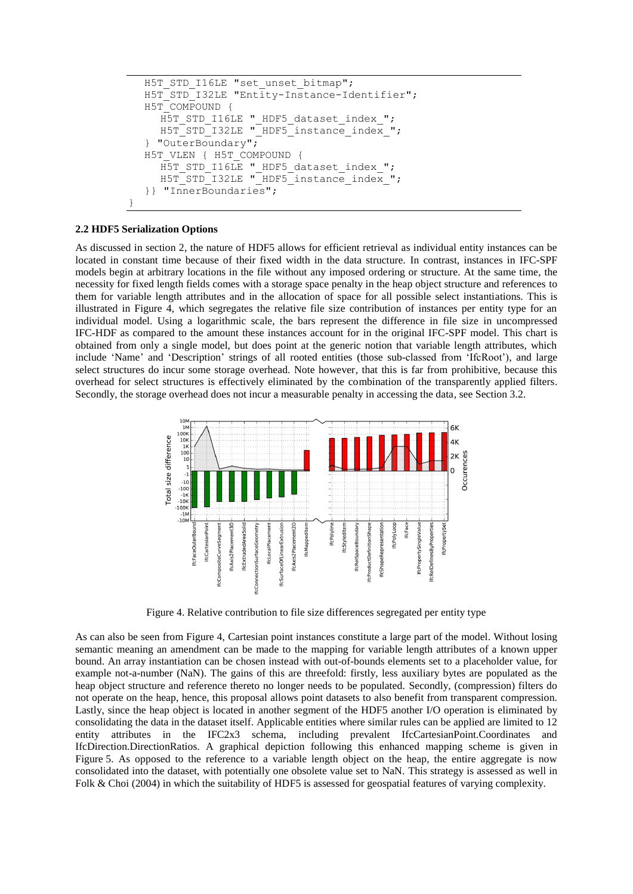```
H5T STD I16LE "set unset bitmap";
H5T_STD_I32LE "Entity-Instance-Identifier";
 H5T_COMPOUND {
  H5T STD I16LE " HDF5 dataset index ";
   H5T_STD_I32LE "_HDF5_instance_index_";
 } "OuterBoundary";
 H5T_VLEN { H5T_COMPOUND {
   H5T_STD_I16LE "_HDF5_dataset_index_";
  H5T_STD_I32LE " HDF5_instance_index ";
 }} "InnerBoundaries";
```
#### **2.2 HDF5 Serialization Options**

}

As discussed in section 2, the nature of HDF5 allows for efficient retrieval as individual entity instances can be located in constant time because of their fixed width in the data structure. In contrast, instances in IFC-SPF models begin at arbitrary locations in the file without any imposed ordering or structure. At the same time, the necessity for fixed length fields comes with a storage space penalty in the heap object structure and references to them for variable length attributes and in the allocation of space for all possible select instantiations. This is illustrated in Figure 4, which segregates the relative file size contribution of instances per entity type for an individual model. Using a logarithmic scale, the bars represent the difference in file size in uncompressed IFC-HDF as compared to the amount these instances account for in the original IFC-SPF model. This chart is obtained from only a single model, but does point at the generic notion that variable length attributes, which include 'Name' and 'Description' strings of all rooted entities (those sub-classed from 'IfcRoot'), and large select structures do incur some storage overhead. Note however, that this is far from prohibitive, because this overhead for select structures is effectively eliminated by the combination of the transparently applied filters. Secondly, the storage overhead does not incur a measurable penalty in accessing the data, see Section 3.2.



Figure 4. Relative contribution to file size differences segregated per entity type

As can also be seen from Figure 4, Cartesian point instances constitute a large part of the model. Without losing semantic meaning an amendment can be made to the mapping for variable length attributes of a known upper bound. An array instantiation can be chosen instead with out-of-bounds elements set to a placeholder value, for example not-a-number (NaN). The gains of this are threefold: firstly, less auxiliary bytes are populated as the heap object structure and reference thereto no longer needs to be populated. Secondly, (compression) filters do not operate on the heap, hence, this proposal allows point datasets to also benefit from transparent compression. Lastly, since the heap object is located in another segment of the HDF5 another I/O operation is eliminated by consolidating the data in the dataset itself. Applicable entities where similar rules can be applied are limited to 12 entity attributes in the IFC2x3 schema, including prevalent IfcCartesianPoint.Coordinates and IfcDirection.DirectionRatios. A graphical depiction following this enhanced mapping scheme is given in Figure 5. As opposed to the reference to a variable length object on the heap, the entire aggregate is now consolidated into the dataset, with potentially one obsolete value set to NaN. This strategy is assessed as well in Folk & Choi (2004) in which the suitability of HDF5 is assessed for geospatial features of varying complexity.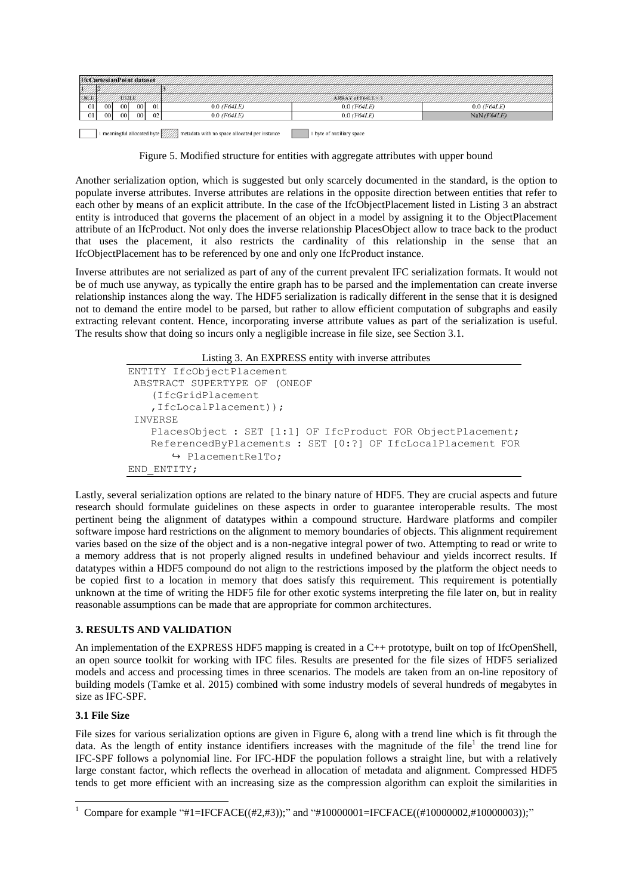|       | HeCartesianPoint dataset |        |                 |    |                        |                        |               |  |
|-------|--------------------------|--------|-----------------|----|------------------------|------------------------|---------------|--|
|       |                          |        |                 |    |                        |                        |               |  |
| 108LF | 2032LE                   |        |                 |    | ARRAY of E64LEXX       |                        |               |  |
| 01    | 00                       | $00\,$ | 00 <sup>1</sup> | 01 | $0.0$ ( <i>F64LE</i> ) | $0.0$ (F64LE)          | $0.0$ (F64LE) |  |
| 01    | 00                       | $00\,$ | 00 <sup>1</sup> | 02 | $0.0$ ( <i>F64LE</i> ) | $0.0$ ( <i>F64LE</i> ) | NaN(F64LE)    |  |

1 meaningful allocated byte **the contract of the contract of the contract of the contract of the contract of the contract of the contract of the contract of the contract of the contract of the contract of the contract of t** 

Figure 5. Modified structure for entities with aggregate attributes with upper bound

Another serialization option, which is suggested but only scarcely documented in the standard, is the option to populate inverse attributes. Inverse attributes are relations in the opposite direction between entities that refer to each other by means of an explicit attribute. In the case of the IfcObjectPlacement listed in Listing 3 an abstract entity is introduced that governs the placement of an object in a model by assigning it to the ObjectPlacement attribute of an IfcProduct. Not only does the inverse relationship PlacesObject allow to trace back to the product that uses the placement, it also restricts the cardinality of this relationship in the sense that an IfcObjectPlacement has to be referenced by one and only one IfcProduct instance.

Inverse attributes are not serialized as part of any of the current prevalent IFC serialization formats. It would not be of much use anyway, as typically the entire graph has to be parsed and the implementation can create inverse relationship instances along the way. The HDF5 serialization is radically different in the sense that it is designed not to demand the entire model to be parsed, but rather to allow efficient computation of subgraphs and easily extracting relevant content. Hence, incorporating inverse attribute values as part of the serialization is useful. The results show that doing so incurs only a negligible increase in file size, see Section 3.1.

Listing 3. An EXPRESS entity with inverse attributes

```
ENTITY IfcObjectPlacement
 ABSTRACT SUPERTYPE OF (ONEOF
   (IfcGridPlacement
   ,IfcLocalPlacement));
 INVERSE
   PlacesObject : SET [1:1] OF IfcProduct FOR ObjectPlacement;
   ReferencedByPlacements : SET [0:?] OF IfcLocalPlacement FOR
        ↪ PlacementRelTo;
END_ENTITY;
```
Lastly, several serialization options are related to the binary nature of HDF5. They are crucial aspects and future research should formulate guidelines on these aspects in order to guarantee interoperable results. The most pertinent being the alignment of datatypes within a compound structure. Hardware platforms and compiler software impose hard restrictions on the alignment to memory boundaries of objects. This alignment requirement varies based on the size of the object and is a non-negative integral power of two. Attempting to read or write to a memory address that is not properly aligned results in undefined behaviour and yields incorrect results. If datatypes within a HDF5 compound do not align to the restrictions imposed by the platform the object needs to be copied first to a location in memory that does satisfy this requirement. This requirement is potentially unknown at the time of writing the HDF5 file for other exotic systems interpreting the file later on, but in reality reasonable assumptions can be made that are appropriate for common architectures.

#### **3. RESULTS AND VALIDATION**

An implementation of the EXPRESS HDF5 mapping is created in a C++ prototype, built on top of IfcOpenShell, an open source toolkit for working with IFC files. Results are presented for the file sizes of HDF5 serialized models and access and processing times in three scenarios. The models are taken from an on-line repository of building models (Tamke et al. 2015) combined with some industry models of several hundreds of megabytes in size as IFC-SPF.

#### **3.1 File Size**

 $\overline{a}$ 

File sizes for various serialization options are given in Figure 6, along with a trend line which is fit through the data. As the length of entity instance identifiers increases with the magnitude of the file<sup>1</sup> the trend line for IFC-SPF follows a polynomial line. For IFC-HDF the population follows a straight line, but with a relatively large constant factor, which reflects the overhead in allocation of metadata and alignment. Compressed HDF5 tends to get more efficient with an increasing size as the compression algorithm can exploit the similarities in

<sup>&</sup>lt;sup>1</sup> Compare for example "#1=IFCFACE((#2,#3));" and "#10000001=IFCFACE((#10000002,#10000003));"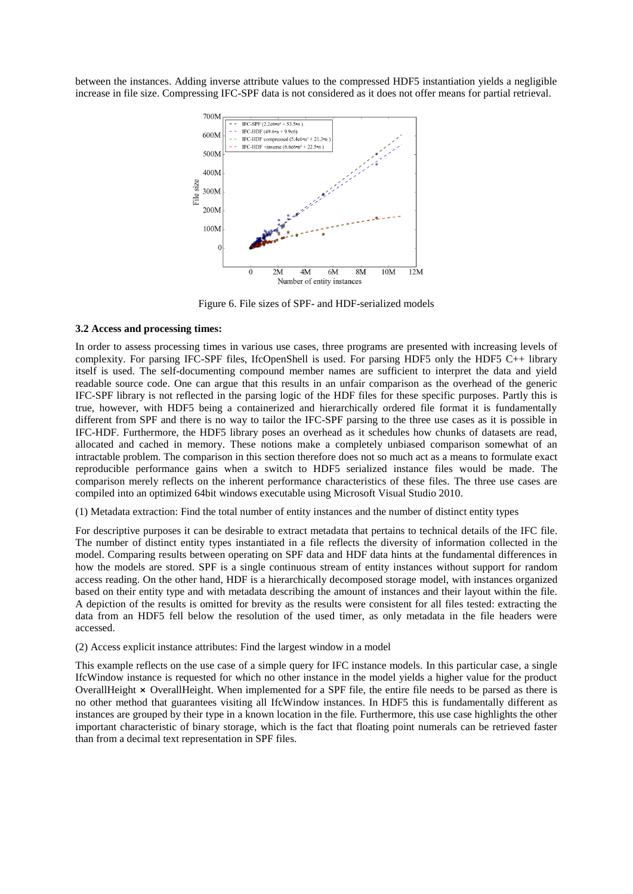between the instances. Adding inverse attribute values to the compressed HDF5 instantiation yields a negligible increase in file size. Compressing IFC-SPF data is not considered as it does not offer means for partial retrieval.



Figure 6. File sizes of SPF- and HDF-serialized models

#### **3.2 Access and processing times:**

In order to assess processing times in various use cases, three programs are presented with increasing levels of complexity. For parsing IFC-SPF files, IfcOpenShell is used. For parsing HDF5 only the HDF5 C++ library itself is used. The self-documenting compound member names are sufficient to interpret the data and yield readable source code. One can argue that this results in an unfair comparison as the overhead of the generic IFC-SPF library is not reflected in the parsing logic of the HDF files for these specific purposes. Partly this is true, however, with HDF5 being a containerized and hierarchically ordered file format it is fundamentally different from SPF and there is no way to tailor the IFC-SPF parsing to the three use cases as it is possible in IFC-HDF. Furthermore, the HDF5 library poses an overhead as it schedules how chunks of datasets are read, allocated and cached in memory. These notions make a completely unbiased comparison somewhat of an intractable problem. The comparison in this section therefore does not so much act as a means to formulate exact reproducible performance gains when a switch to HDF5 serialized instance files would be made. The comparison merely reflects on the inherent performance characteristics of these files. The three use cases are compiled into an optimized 64bit windows executable using Microsoft Visual Studio 2010.

(1) Metadata extraction: Find the total number of entity instances and the number of distinct entity types

For descriptive purposes it can be desirable to extract metadata that pertains to technical details of the IFC file. The number of distinct entity types instantiated in a file reflects the diversity of information collected in the model. Comparing results between operating on SPF data and HDF data hints at the fundamental differences in how the models are stored. SPF is a single continuous stream of entity instances without support for random access reading. On the other hand, HDF is a hierarchically decomposed storage model, with instances organized based on their entity type and with metadata describing the amount of instances and their layout within the file. A depiction of the results is omitted for brevity as the results were consistent for all files tested: extracting the data from an HDF5 fell below the resolution of the used timer, as only metadata in the file headers were accessed.

#### (2) Access explicit instance attributes: Find the largest window in a model

This example reflects on the use case of a simple query for IFC instance models. In this particular case, a single IfcWindow instance is requested for which no other instance in the model yields a higher value for the product OverallHeight ⨯ OverallHeight. When implemented for a SPF file, the entire file needs to be parsed as there is no other method that guarantees visiting all IfcWindow instances. In HDF5 this is fundamentally different as instances are grouped by their type in a known location in the file. Furthermore, this use case highlights the other important characteristic of binary storage, which is the fact that floating point numerals can be retrieved faster than from a decimal text representation in SPF files.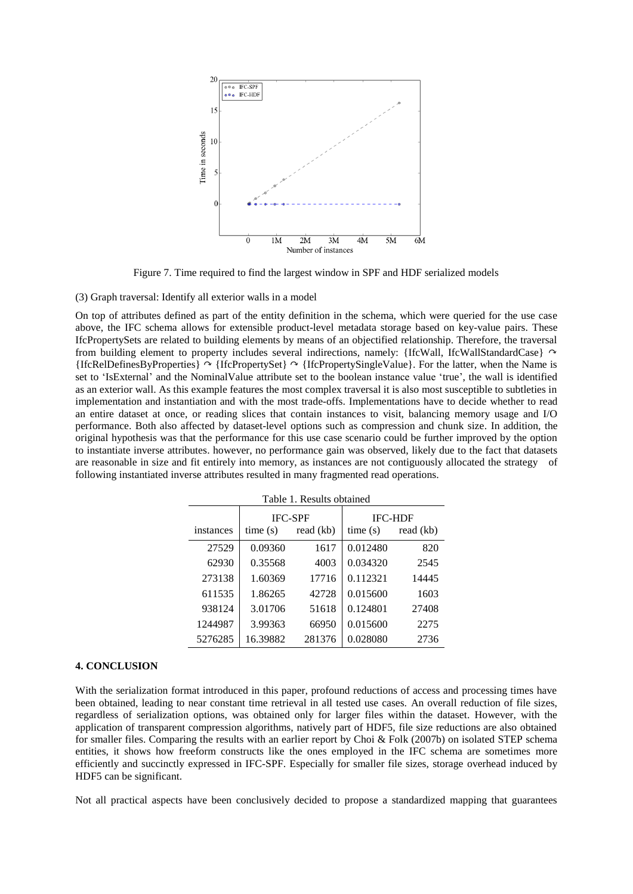

Figure 7. Time required to find the largest window in SPF and HDF serialized models

#### (3) Graph traversal: Identify all exterior walls in a model

On top of attributes defined as part of the entity definition in the schema, which were queried for the use case above, the IFC schema allows for extensible product-level metadata storage based on key-value pairs. These IfcPropertySets are related to building elements by means of an objectified relationship. Therefore, the traversal from building element to property includes several indirections, namely: {IfcWall, IfcWallStandardCase}  $\sim$ {IfcRelDefinesByProperties} ↷ {IfcPropertySet} ↷ {IfcPropertySingleValue}. For the latter, when the Name is set to 'IsExternal' and the NominalValue attribute set to the boolean instance value 'true', the wall is identified as an exterior wall. As this example features the most complex traversal it is also most susceptible to subtleties in implementation and instantiation and with the most trade-offs. Implementations have to decide whether to read an entire dataset at once, or reading slices that contain instances to visit, balancing memory usage and I/O performance. Both also affected by dataset-level options such as compression and chunk size. In addition, the original hypothesis was that the performance for this use case scenario could be further improved by the option to instantiate inverse attributes. however, no performance gain was observed, likely due to the fact that datasets are reasonable in size and fit entirely into memory, as instances are not contiguously allocated the strategy of following instantiated inverse attributes resulted in many fragmented read operations.

|           | <b>IFC-SPF</b> |           |          | <b>IFC-HDF</b> |  |  |  |
|-----------|----------------|-----------|----------|----------------|--|--|--|
| instances | time(s)        | read (kb) | time(s)  | read (kb)      |  |  |  |
| 27529     | 0.09360        | 1617      | 0.012480 | 820            |  |  |  |
| 62930     | 0.35568        | 4003      | 0.034320 | 2545           |  |  |  |
| 273138    | 1.60369        | 17716     | 0.112321 | 14445          |  |  |  |
| 611535    | 1.86265        | 42728     | 0.015600 | 1603           |  |  |  |
| 938124    | 3.01706        | 51618     | 0.124801 | 27408          |  |  |  |
| 1244987   | 3.99363        | 66950     | 0.015600 | 2275           |  |  |  |
| 5276285   | 16.39882       | 281376    | 0.028080 | 2736           |  |  |  |

Table 1. Results obtained

#### **4. CONCLUSION**

With the serialization format introduced in this paper, profound reductions of access and processing times have been obtained, leading to near constant time retrieval in all tested use cases. An overall reduction of file sizes, regardless of serialization options, was obtained only for larger files within the dataset. However, with the application of transparent compression algorithms, natively part of HDF5, file size reductions are also obtained for smaller files. Comparing the results with an earlier report by Choi & Folk (2007b) on isolated STEP schema entities, it shows how freeform constructs like the ones employed in the IFC schema are sometimes more efficiently and succinctly expressed in IFC-SPF. Especially for smaller file sizes, storage overhead induced by HDF5 can be significant.

Not all practical aspects have been conclusively decided to propose a standardized mapping that guarantees